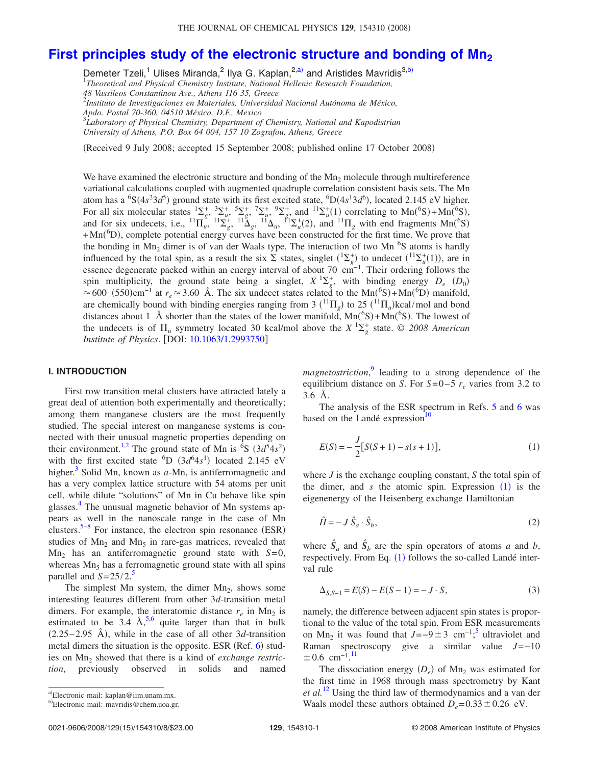# **[First principles study of the electronic structure and bonding of Mn2](http://dx.doi.org/10.1063/1.2993750)**

Demeter Tzeli,<sup>1</sup> Ulises Miranda,<sup>2</sup> Ilya G. Kaplan,<sup>2[,a](#page-0-0))</sup> and Aristides Mavridis<sup>3[,b](#page-0-1))</sup>

1 *Theoretical and Physical Chemistry Institute, National Hellenic Research Foundation, 48 Vassileos Constantinou Ave., Athens 116 35, Greece*

2 *Instituto de Investigaciones en Materiales, Universidad Nacional Autónoma de México,*

*Apdo. Postal 70-360, 04510 México, D.F., Mexico* 3 *Laboratory of Physical Chemistry, Department of Chemistry, National and Kapodistrian University of Athens, P.O. Box 64 004, 157 10 Zografou, Athens, Greece*

Received 9 July 2008; accepted 15 September 2008; published online 17 October 2008-

We have examined the electronic structure and bonding of the  $Mn<sub>2</sub>$  molecule through multireference variational calculations coupled with augmented quadruple correlation consistent basis sets. The Mn atom has a <sup>6</sup>S( $4s<sup>2</sup>3d<sup>5</sup>$ ) ground state with its first excited state, <sup>6</sup>D( $4s<sup>1</sup>3d<sup>6</sup>$ ), located 2.145 eV higher. For all six molecular states  ${}^{1}\Sigma_{g}^{+}$ ,  ${}^{3}\Sigma_{u}^{+}$ ,  ${}^{5}\Sigma_{u}^{+}$ ,  ${}^{7}\Sigma_{u}^{+}$ ,  ${}^{9}\Sigma_{g}^{+}$ , and  ${}^{11}\Sigma_{u}^{+}(1)$  correlating to  $Mn({}^{6}S) + Mn({}^{6}S)$ , and for six undecets, i.e.,  ${}^{11}\Pi_u^{\circ}$ ,  ${}^{11}\Sigma_g^+$ ,  ${}^{11}\Delta_g$ ,  ${}^{11}\Delta_u$ ,  ${}^{11}\Sigma_u^+(2)$ , and  ${}^{11}\Pi_g$  with end fragments  $Mn({}^{6}S)$  $+{\rm Mn}({}^{6}{\rm D})$ , complete potential energy curves have been constructed for the first time. We prove that the bonding in  $Mn_2$  dimer is of van der Waals type. The interaction of two  $Mn$ <sup>6</sup>S atoms is hardly influenced by the total spin, as a result the six  $\sum$  states, singlet  $({}^1\Sigma_g^+)$  to undecet  $({}^{11}\Sigma_u^+(1))$ , are in essence degenerate packed within an energy interval of about 70 cm<sup>-1</sup>. Their ordering follows the spin multiplicity, the ground state being a singlet,  $X^1\Sigma_g^+$ , with binding energy  $D_e$  ( $D_0$ ) ≈ 600 (550)cm<sup>-1</sup> at  $r_e$  ≈ 3.60 Å. The six undecet states related to the Mn(<sup>6</sup>S)+Mn(<sup>6</sup>D) manifold, are chemically bound with binding energies ranging from 3  $(^{11}\Pi_g)$  to 25  $(^{11}\Pi_u)$ kcal/mol and bond distances about 1 Å shorter than the states of the lower manifold,  $Mn(^{6}S) + Mn(^{6}S)$ . The lowest of the undecets is of  $\Pi_u$  symmetry located 30 kcal/mol above the  $X \frac{1 \Sigma_g^+}{g}$  state. © 2008 American *Institute of Physics.* [DOI: [10.1063/1.2993750](http://dx.doi.org/10.1063/1.2993750)]

#### **I. INTRODUCTION**

First row transition metal clusters have attracted lately a great deal of attention both experimentally and theoretically; among them manganese clusters are the most frequently studied. The special interest on manganese systems is connected with their unusual magnetic properties depending on their environment.<sup>1[,2](#page-7-1)</sup> The ground state of Mn is  $\overline{6}S$  (3*d* $\overline{5}4s^2$ ) with the first excited state  ${}^{6}D$  ( $3d^{6}4s^{1}$ ) located 2.145 eV higher.<sup>3</sup> Solid Mn, known as *a*-Mn, is antiferromagnetic and has a very complex lattice structure with 54 atoms per unit cell, while dilute "solutions" of Mn in Cu behave like spin glasses[.4](#page-7-3) The unusual magnetic behavior of Mn systems appears as well in the nanoscale range in the case of Mn clusters.<sup>5–[8](#page-7-5)</sup> For instance, the electron spin resonance (ESR) studies of  $Mn<sub>2</sub>$  and  $Mn<sub>5</sub>$  in rare-gas matrices, revealed that Mn2 has an antiferromagnetic ground state with *S*=0, whereas  $Mn<sub>5</sub>$  has a ferromagnetic ground state with all spins parallel and  $S = 25/2$  $S = 25/2$  $S = 25/2$ .<sup>5</sup>

The simplest Mn system, the dimer  $Mn<sub>2</sub>$ , shows some interesting features different from other 3*d*-transition metal dimers. For example, the interatomic distance  $r_e$  in Mn<sub>2</sub> is estimated to be  $3.4 \text{ Å}^{5,6}$  $3.4 \text{ Å}^{5,6}$  $3.4 \text{ Å}^{5,6}$  quite larger than that in bulk  $(2.25-2.95 \text{ Å})$ , while in the case of all other 3*d*-transition metal dimers the situation is the opposite. ESR (Ref. [6](#page-7-6)) studies on Mn<sub>2</sub> showed that there is a kind of *exchange restriction*, previously observed in solids and named

*magnetostriction*, [9](#page-7-7) leading to a strong dependence of the equilibrium distance on *S*. For  $S=0-5$   $r_e$  varies from 3.2 to 3.6 Å.

The analysis of the ESR spectrum in Refs. [5](#page-7-4) and [6](#page-7-6) was based on the Landé expression $10$ 

<span id="page-0-2"></span>
$$
E(S) = -\frac{J}{2} [S(S+1) - s(s+1)],
$$
\n(1)

where *J* is the exchange coupling constant, *S* the total spin of the dimer, and  $s$  the atomic spin. Expression  $(1)$  $(1)$  $(1)$  is the eigenenergy of the Heisenberg exchange Hamiltonian

<span id="page-0-3"></span>
$$
\hat{H} = -J\hat{S}_a \cdot \hat{S}_b,\tag{2}
$$

where  $\hat{S}_a$  and  $\hat{S}_b$  are the spin operators of atoms *a* and *b*, respectively. From Eq.  $(1)$  $(1)$  $(1)$  follows the so-called Landé interval rule

<span id="page-0-4"></span>
$$
\Delta_{S,S-1} = E(S) - E(S-1) = -J \cdot S,\tag{3}
$$

namely, the difference between adjacent spin states is proportional to the value of the total spin. From ESR measurements on Mn<sub>2</sub> it was found that  $J=-9 \pm 3$  cm<sup>-1</sup>;<sup>[5](#page-7-4)</sup> ultraviolet and Raman spectroscopy give a similar value *J*=−10  $\pm 0.6$  cm<sup>-1.[11](#page-7-9)</sup>

The dissociation energy  $(D_e)$  of Mn<sub>2</sub> was estimated for the first time in 1968 through mass spectrometry by Kant *et al.*[12](#page-7-10) Using the third law of thermodynamics and a van der Waals model these authors obtained  $D_e = 0.33 \pm 0.26$  eV.

<span id="page-0-0"></span>a)Electronic mail: kaplan@iim.unam.mx.

<span id="page-0-1"></span><sup>&</sup>lt;sup>b)</sup>Electronic mail: mavridis@chem.uoa.gr.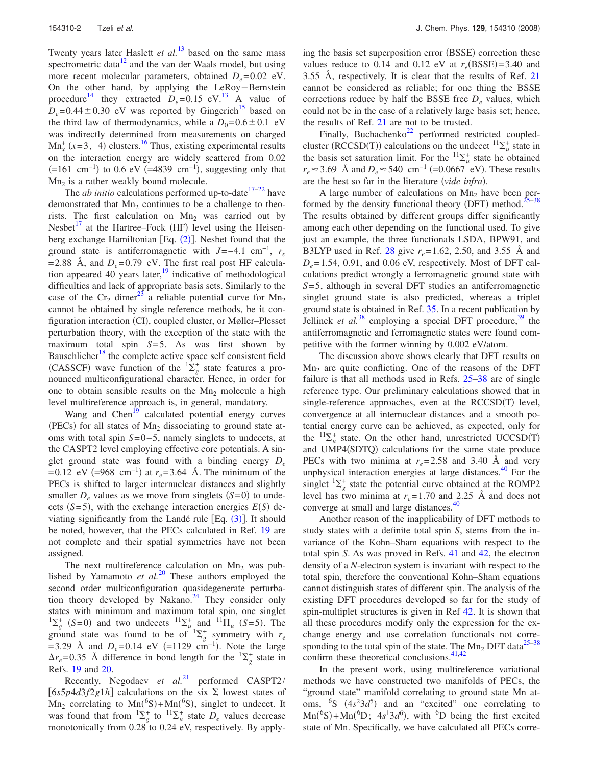Twenty years later Haslett *et al.*<sup>[13](#page-7-11)</sup> based on the same mass spectrometric data $12$  and the van der Waals model, but using more recent molecular parameters, obtained  $D_e = 0.02$  eV. On the other hand, by applying the LeRoy-Bernstein procedure<sup>14</sup> they extracted  $D_e = 0.15$  eV.<sup>13</sup> A value of  $D_e$ = 0.44  $\pm$  0.30 eV was reported by Gingerich<sup>15</sup> based on the third law of thermodynamics, while a  $D_0=0.6\pm0.1$  eV was indirectly determined from measurements on charged  $\text{Mn}_x^+$  (x=3, 4) clusters.<sup>16</sup> Thus, existing experimental results on the interaction energy are widely scattered from 0.02  $(=161 \text{ cm}^{-1})$  to 0.6 eV  $(=4839 \text{ cm}^{-1})$ , suggesting only that  $Mn<sub>2</sub>$  is a rather weakly bound molecule.

The *ab initio* calculations performed up-to-date<sup> $17-22$  $17-22$ </sup> have demonstrated that  $Mn<sub>2</sub>$  continues to be a challenge to theorists. The first calculation on  $Mn<sub>2</sub>$  was carried out by Nesbet $17$  at the Hartree–Fock (HF) level using the Heisenberg exchange Hamiltonian [Eq.  $(2)$  $(2)$  $(2)$ ]. Nesbet found that the ground state is antiferromagnetic with  $J=-4.1 \text{ cm}^{-1}$ ,  $r_e$  $= 2.88$  Å, and  $D_e = 0.79$  eV. The first real post HF calculation appeared 40 years later, $\frac{19}{2}$  indicative of methodological difficulties and lack of appropriate basis sets. Similarly to the case of the Cr<sub>2</sub> dimer<sup>23</sup> a reliable potential curve for Mn<sub>2</sub> cannot be obtained by single reference methods, be it configuration interaction (CI), coupled cluster, or Møller-Plesset perturbation theory, with the exception of the state with the maximum total spin *S*= 5. As was first shown by Bauschlicher<sup>18</sup> the complete active space self consistent field (CASSCF) wave function of the  ${}^{1}\Sigma_{g}^{+}$  state features a pronounced multiconfigurational character. Hence, in order for one to obtain sensible results on the  $Mn<sub>2</sub>$  molecule a high level multireference approach is, in general, mandatory.

Wang and Chen<sup>19</sup> calculated potential energy curves (PECs) for all states of  $Mn<sub>2</sub>$  dissociating to ground state atoms with total spin *S*=0–5, namely singlets to undecets, at the CASPT2 level employing effective core potentials. A singlet ground state was found with a binding energy *De*  $= 0.12$  eV (=968 cm<sup>-1</sup>) at  $r_e = 3.64$  Å. The minimum of the PECs is shifted to larger internuclear distances and slightly smaller  $D_e$  values as we move from singlets  $(S=0)$  to undecets  $(S=5)$ , with the exchange interaction energies  $E(S)$  deviating significantly from the Landé rule  $[Eq. (3)]$  $[Eq. (3)]$  $[Eq. (3)]$ . It should be noted, however, that the PECs calculated in Ref. [19](#page-7-17) are not complete and their spatial symmetries have not been assigned.

The next multireference calculation on  $Mn<sub>2</sub>$  was published by Yamamoto *et al.*[20](#page-7-20) These authors employed the second order multiconfiguration quasidegenerate perturbation theory developed by Nakano. $24$  They consider only states with minimum and maximum total spin, one singlet  ${}^{1}\Sigma_{g}^{+}$  (*S*=0) and two undecets  ${}^{11}\Sigma_{u}^{+}$  and  ${}^{11}\Pi_{u}$  (*S*=5). The ground state was found to be of  ${}^{1}\Sigma_{g}^{+}$  symmetry with  $r_e$  $= 3.29$  Å and  $D_e = 0.14$  eV  $(=1129 \text{ cm}^{-1})$ . Note the large  $\Delta r_e$ =0.35 Å difference in bond length for the  ${}^{1}\Sigma_g^+$  state in Refs. [19](#page-7-17) and [20.](#page-7-20)

Recently, Negodaev *et al.*[21](#page-7-22) performed CASPT2/  $[6s5p4d3f2g1h]$  calculations on the six  $\Sigma$  lowest states of  $Mn_2$  correlating to  $Mn({}^6S) + Mn({}^6S)$ , singlet to undecet. It was found that from  ${}^{1}\Sigma_{g}^{+}$  to  ${}^{11}\Sigma_{u}^{+}$  state  $D_{e}$  values decrease monotonically from 0.28 to 0.24 eV, respectively. By apply-

ing the basis set superposition error (BSSE) correction these values reduce to 0.14 and 0.12 eV at  $r_e(BSSE) = 3.40$  and 3.55 Å, respectively. It is clear that the results of Ref. [21](#page-7-22) cannot be considered as reliable; for one thing the BSSE corrections reduce by half the BSSE free  $D_e$  values, which could not be in the case of a relatively large basis set; hence, the results of Ref. [21](#page-7-22) are not to be trusted.

Finally, Buchachenko<sup>22</sup> performed restricted coupledcluster (RCCSD(T)) calculations on the undecet  ${}^{11}\Sigma^+_u$  state in the basis set saturation limit. For the  ${}^{11}\Sigma_u^+$  state he obtained  $r_e \approx 3.69$  Å and  $D_e \approx 540$  cm<sup>-1</sup> (=0.0667 eV). These results are the best so far in the literature (vide infra).

A large number of calculations on  $Mn<sub>2</sub>$  have been per-formed by the density functional theory (DFT) method.<sup>25[–38](#page-7-24)</sup> The results obtained by different groups differ significantly among each other depending on the functional used. To give just an example, the three functionals LSDA, BPW91, and B3LYP used in Ref. [28](#page-7-25) give *re*= 1.62, 2.50, and 3.55 Å and  $D_e$ = 1.54, 0.91, and 0.06 eV, respectively. Most of DFT calculations predict wrongly a ferromagnetic ground state with *S*= 5, although in several DFT studies an antiferromagnetic singlet ground state is also predicted, whereas a triplet ground state is obtained in Ref. [35.](#page-7-26) In a recent publication by Jellinek *et al.*<sup>[38](#page-7-24)</sup> employing a special DFT procedure,<sup>39</sup> the antiferromagnetic and ferromagnetic states were found competitive with the former winning by 0.002 eV/atom.

The discussion above shows clearly that DFT results on  $Mn<sub>2</sub>$  are quite conflicting. One of the reasons of the DFT failure is that all methods used in Refs. [25](#page-7-23)[–38](#page-7-24) are of single reference type. Our preliminary calculations showed that in single-reference approaches, even at the RCCSD(T) level, convergence at all internuclear distances and a smooth potential energy curve can be achieved, as expected, only for the  ${}^{11}\Sigma_u^+$  state. On the other hand, unrestricted UCCSD(T) and UMP4(SDTQ) calculations for the same state produce PECs with two minima at  $r_e = 2.58$  and 3.40 Å and very unphysical interaction energies at large distances. $40$  For the singlet  ${}^{1}\Sigma_{g}^{+}$  state the potential curve obtained at the ROMP2 level has two minima at  $r_e = 1.70$  and 2.25 Å and does not converge at small and large distances.<sup>40</sup>

Another reason of the inapplicability of DFT methods to study states with a definite total spin *S*, stems from the invariance of the Kohn–Sham equations with respect to the total spin *S*. As was proved in Refs. [41](#page-7-29) and [42,](#page-7-30) the electron density of a *N*-electron system is invariant with respect to the total spin, therefore the conventional Kohn–Sham equations cannot distinguish states of different spin. The analysis of the existing DFT procedures developed so far for the study of spin-multiplet structures is given in Ref [42.](#page-7-30) It is shown that all these procedures modify only the expression for the exchange energy and use correlation functionals not corresponding to the total spin of the state. The  $Mn_2$  DFT data<sup>25[–38](#page-7-24)</sup> confirm these theoretical conclusions.<sup>41[,42](#page-7-30)</sup>

In the present work, using multireference variational methods we have constructed two manifolds of PECs, the "ground state" manifold correlating to ground state Mn atoms,  ${}^{6}S$   $(4s^{2}3d^{5})$  and an "excited" one correlating to  $Mn({}^{6}S) + Mn({}^{6}D; 4s^{1}3d^{6}),$  with <sup>6</sup>D being the first excited state of Mn. Specifically, we have calculated all PECs corre-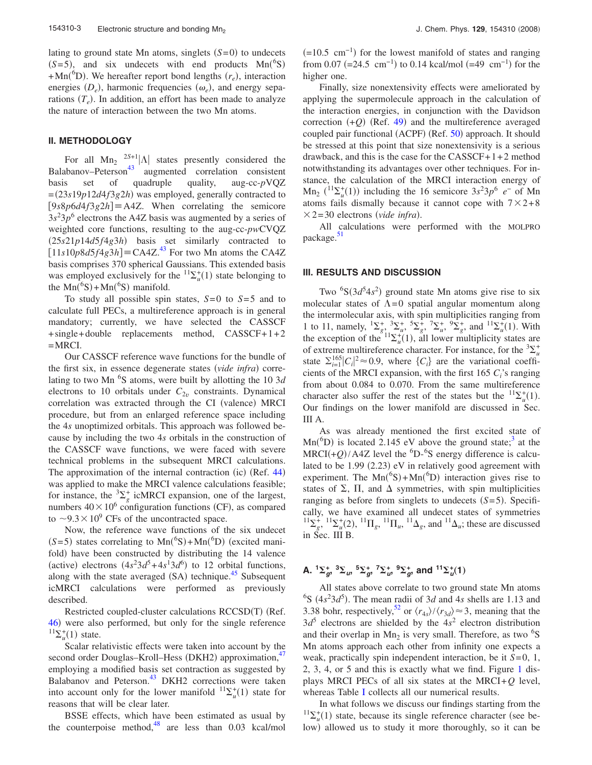lating to ground state Mn atoms, singlets  $(S=0)$  to undecets  $(S=5)$ , and six undecets with end products  $Mn(^{6}S)$  $+{\rm Mn}({}^{6}D)$ . We hereafter report bond lengths  $(r_e)$ , interaction energies  $(D_e)$ , harmonic frequencies  $(\omega_e)$ , and energy separations  $(T_e)$ . In addition, an effort has been made to analyze the nature of interaction between the two Mn atoms.

#### **II. METHODOLOGY**

For all  $\text{Mn}_2$   $^{2S+1}$  \A states presently considered the  $B$ alabanov–Peterson<sup>43</sup> augmented correlation consistent basis set of quadruple quality, aug-cc-*p*VQZ =23*s*19*p*12*d*4*f*3*g*2*h*- was employed, generally contracted to  $[9s8p6d4f3g2h] \equiv A4Z$ . When correlating the semicore  $3s<sup>2</sup>3p<sup>6</sup>$  electrons the A4Z basis was augmented by a series of weighted core functions, resulting to the aug-cc-*pw*CVQZ 25*s*21*p*14*d*5*f*4*g*3*h*- basis set similarly contracted to  $[11s10p8d5f4g3h] \equiv$ CA4Z.<sup>43</sup> For two Mn atoms the CA4Z basis comprises 370 spherical Gaussians. This extended basis was employed exclusively for the  ${}^{11}\Sigma_u^+(1)$  state belonging to the  $Mn({}^{6}S) + Mn({}^{6}S)$  manifold.

To study all possible spin states,  $S=0$  to  $S=5$  and to calculate full PECs, a multireference approach is in general mandatory; currently, we have selected the CASSCF + single+ double replacements method, CASSCF+1+2  $=$ MRCI.

Our CASSCF reference wave functions for the bundle of the first six, in essence degenerate states (vide infra) correlating to two Mn<sup>6</sup>S atoms, were built by allotting the 10 3*d* electrons to 10 orbitals under  $C_{2v}$  constraints. Dynamical correlation was extracted through the CI (valence) MRCI procedure, but from an enlarged reference space including the 4*s* unoptimized orbitals. This approach was followed because by including the two 4*s* orbitals in the construction of the CASSCF wave functions, we were faced with severe technical problems in the subsequent MRCI calculations. The approximation of the internal contraction (ic) (Ref. [44](#page-7-32)) was applied to make the MRCI valence calculations feasible; for instance, the  ${}^{3}\Sigma_{g}^{+}$  icMRCI expansion, one of the largest, numbers  $40 \times 10^6$  configuration functions (CF), as compared to  $\sim$ 9.3 $\times$ 10<sup>9</sup> CFs of the uncontracted space.

Now, the reference wave functions of the six undecet  $(S=5)$  states correlating to  $Mn({}^{6}S) + Mn({}^{6}D)$  (excited manifold) have been constructed by distributing the 14 valence (active) electrons  $(4s^2 3d^5 + 4s^1 3d^6)$  to 12 orbital functions, along with the state averaged (SA) technique.<sup>45</sup> Subsequent icMRCI calculations were performed as previously described.

Restricted coupled-cluster calculations RCCSD(T) (Ref. [46](#page-7-34)) were also performed, but only for the single reference  ${}^{11}\Sigma_{u}^{+}(1)$  state.

Scalar relativistic effects were taken into account by the second order Douglas-Kroll-Hess (DKH2) approximation,<sup>47</sup> employing a modified basis set contraction as suggested by Balabanov and Peterson.<sup>43</sup> DKH2 corrections were taken into account only for the lower manifold  ${}^{11}\Sigma_u^+(1)$  state for reasons that will be clear later.

BSSE effects, which have been estimated as usual by the counterpoise method, $48$  are less than 0.03 kcal/mol

 $(=10.5 \text{ cm}^{-1})$  for the lowest manifold of states and ranging from 0.07 (=24.5 cm<sup>-1</sup>) to 0.14 kcal/mol (=49 cm<sup>-1</sup>) for the higher one.

Finally, size nonextensivity effects were ameliorated by applying the supermolecule approach in the calculation of the interaction energies, in conjunction with the Davidson correction  $(+Q)$  (Ref. [49](#page-7-37)) and the multireference averaged coupled pair functional (ACPF) (Ref. [50](#page-7-38)) approach. It should be stressed at this point that size nonextensivity is a serious drawback, and this is the case for the  $CASSCF+1+2$  method notwithstanding its advantages over other techniques. For instance, the calculation of the MRCI interaction energy of  $\text{Mn}_2$  ( $\frac{11}{2}$ <sup>+</sup> $\mu$ </sup>(1)) including the 16 semicore 3*s*<sup>2</sup>3*p*<sup>6</sup> *e*− of Mn atoms fails dismally because it cannot cope with  $7\times2+8$  $\times$  2=30 electrons (vide infra).

All calculations were performed with the MOLPRO package.<sup>51</sup>

#### **III. RESULTS AND DISCUSSION**

Two  ${}^{6}S(3d^{5}4s^{2})$  ground state Mn atoms give rise to six molecular states of  $\Lambda = 0$  spatial angular momentum along the intermolecular axis, with spin multiplicities ranging from 1 to 11, namely,  ${}^{1}\Sigma_{g}^{+}$ ,  ${}^{3}\Sigma_{u}^{+}$ ,  ${}^{5}\Sigma_{g}^{+}$ ,  ${}^{7}\Sigma_{u}^{+}$ ,  ${}^{9}\Sigma_{g}^{+}$ , and  ${}^{11}\Sigma_{u}^{+}(1)$ . With the exception of the  $12\tilde{t}_u(1)$ , all lower multiplicity states are of extreme multireference character. For instance, for the  ${}^{3}\Sigma_{u}^{+}$ state  $\sum_{i=1}^{165} |C_i|^2 \approx 0.9$ , where  $\{C_i\}$  are the variational coefficients of the MRCI expansion, with the first  $165 C<sub>i</sub>$ 's ranging from about 0.084 to 0.070. From the same multireference character also suffer the rest of the states but the  ${}^{11}\Sigma_u^+(1)$ . Our findings on the lower manifold are discussed in Sec. III A.

As was already mentioned the first excited state of  $Mn<sup>6</sup>D$ ) is located 2.145 eV above the ground state;<sup>3</sup> at the  $MRCI(+Q)/A4Z$  level the <sup>6</sup>D-<sup>6</sup>S energy difference is calculated to be 1.99 (2.23) eV in relatively good agreement with experiment. The  $Mn({}^{6}S) + Mn({}^{6}D)$  interaction gives rise to states of  $\Sigma$ ,  $\Pi$ , and  $\Delta$  symmetries, with spin multiplicities ranging as before from singlets to undecets  $(S=5)$ . Specifically, we have examined all undecet states of symmetries  ${}^{11}\Sigma_g^+$ ,  ${}^{11}\Sigma_u^+(2)$ ,  ${}^{11}\Pi_g$ ,  ${}^{11}\Pi_u$ ,  ${}^{11}\Delta_g$ , and  ${}^{11}\Delta_u$ ; these are discussed in Sec. III B.

## **A.**  ${}^{1}\Sigma_{g}^{+}$ ,  ${}^{3}\Sigma_{u}$ ,  ${}^{5}\Sigma_{g}^{+}$ ,  ${}^{7}\Sigma_{u}^{+}$ ,  ${}^{9}\Sigma_{g}^{+}$ , and  ${}^{11}\Sigma_{u}^{+}(1)$

All states above correlate to two ground state Mn atoms <sup>6</sup>S ( $4s<sup>2</sup>3d<sup>5</sup>$ ). The mean radii of 3*d* and 4*s* shells are 1.13 and 3.38 bohr, respectively,<sup>52</sup> or  $\langle r_{4s} \rangle / \langle r_{3d} \rangle \approx 3$ , meaning that the  $3d^5$  electrons are shielded by the  $4s^2$  electron distribution and their overlap in  $Mn<sub>2</sub>$  is very small. Therefore, as two <sup>6</sup>S Mn atoms approach each other from infinity one expects a weak, practically spin independent interaction, be it *S*=0, 1, 2, 3, 4, or 5 and this is exactly what we find. Figure [1](#page-3-0) displays MRCI PECs of all six states at the MRCI+*Q* level, whereas Table [I](#page-4-0) collects all our numerical results.

In what follows we discuss our findings starting from the  $11\Sigma_u^+(1)$  state, because its single reference character (see below) allowed us to study it more thoroughly, so it can be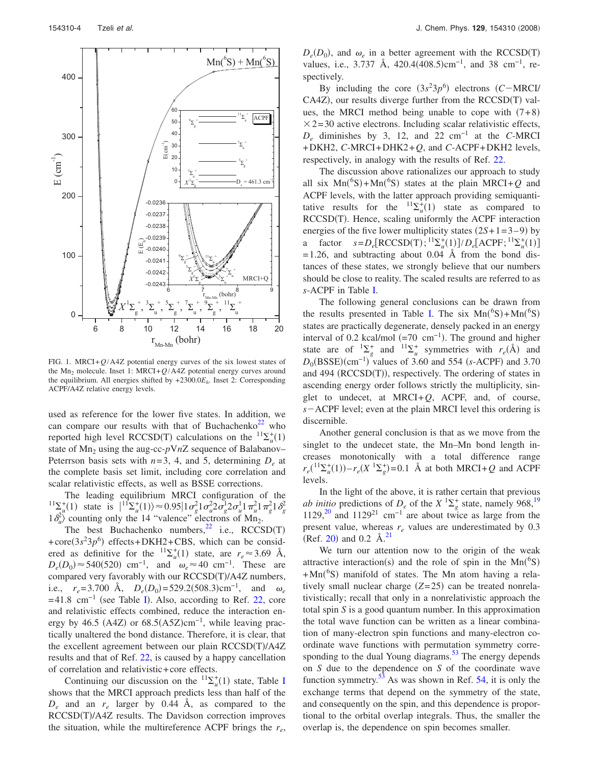<span id="page-3-0"></span>

FIG. 1. MRCI+*Q*/A4Z potential energy curves of the six lowest states of the  $Mn_2$  molecule. Inset 1: MRCI+ $Q/A4Z$  potential energy curves around the equilibrium. All energies shifted by +2300.0*Eh*. Inset 2: Corresponding ACPF/A4Z relative energy levels.

used as reference for the lower five states. In addition, we can compare our results with that of Buchachenko<sup>22</sup> who reported high level RCCSD(T) calculations on the  ${}^{11}\Sigma_u^+(1)$ state of Mn<sub>2</sub> using the aug-cc-pVnZ sequence of Balabanov– Peterrson basis sets with  $n=3$ , 4, and 5, determining  $D_e$  at the complete basis set limit, including core correlation and scalar relativistic effects, as well as BSSE corrections.

The leading equilibrium MRCI configuration of the <sup>11</sup> $\sum_{u}^{1}$ (1) state is  $|^{11}\sum_{u}^{1}$ (1)  $\approx 0.95|1\sigma_g^2 1\sigma_u^2 2\sigma_g^1 2\sigma_u^1 1\pi_u^2 1\pi_g^2 1\delta_g^2$  $1\delta_u^2$  counting only the 14 "valence" electrons of Mn<sub>2</sub>.

The best Buchachenko numbers, $^{22}$  i.e., RCCSD(T) +core $(3s^23p^6)$  effects+DKH2+CBS, which can be considered as definitive for the <sup>11</sup> $\Sigma_u^+(1)$  state, are  $r_e \approx 3.69$  Å,  $D_e(D_0) \approx 540(520)$  cm<sup>-1</sup>, and  $\omega_e \approx 40$  cm<sup>-1</sup>. These are compared very favorably with our RCCSD(T)/A4Z numbers, i.e.,  $r_e = 3.700 \text{ Å}, D_e(D_0) = 529.2(508.3) \text{ cm}^{-1}, \text{ and } \omega_e$  $= 41.8$  cm<sup>-1</sup> (see Table [I](#page-4-0)). Also, according to Ref. [22,](#page-7-16) core and relativistic effects combined, reduce the interaction energy by 46.5 (A4Z) or  $68.5(A5Z)$ cm<sup>-1</sup>, while leaving practically unaltered the bond distance. Therefore, it is clear, that the excellent agreement between our plain RCCSD(T)/A4Z results and that of Ref. [22,](#page-7-16) is caused by a happy cancellation of correlation and relativistic+core effects.

Continuing our discussion on the  ${}^{11}\Sigma_u^+(1)$  state, Table [I](#page-4-0) shows that the MRCI approach predicts less than half of the *De* and an *re* larger by 0.44 Å, as compared to the RCCSD(T)/A4Z results. The Davidson correction improves the situation, while the multireference ACPF brings the  $r_e$ ,

 $D_e(D_0)$ , and  $\omega_e$  in a better agreement with the RCCSD(T) values, i.e., 3.737 Å, 420.4(408.5)cm<sup>-1</sup>, and 38 cm<sup>-1</sup>, respectively.

By including the core  $(3s^23p^6)$  electrons *(C-MRCI/* CA4Z), our results diverge further from the RCCSD(T) values, the MRCI method being unable to cope with  $(7+8)$  $\times$  2=30 active electrons. Including scalar relativistic effects, *De* diminishes by 3, 12, and 22 cm−1 at the *C*-MRCI +DKH2, *C*-MRCI+DHK2+*Q*, and *C*-ACPF+DKH2 levels, respectively, in analogy with the results of Ref. [22.](#page-7-16)

The discussion above rationalizes our approach to study all six  $Mn({}^{6}S) + Mn({}^{6}S)$  states at the plain MRCI+*Q* and ACPF levels, with the latter approach providing semiquantitative results for the  ${}^{11}\Sigma_u^+(1)$  state as compared to RCCSD(T). Hence, scaling uniformly the ACPF interaction energies of the five lower multiplicity states  $(2S+1=3-9)$  by a factor  $s = D_e[RCCSD(T); {}^{11}\Sigma_u^+(1)] / D_e[ACPF; {}^{11}\Sigma_u^+(1)]$  $= 1.26$ , and subtracting about 0.04 Å from the bond distances of these states, we strongly believe that our numbers should be close to reality. The scaled results are referred to as *s*-ACPF in Table [I.](#page-4-0)

The following general conclusions can be drawn from the results presented in Table [I.](#page-4-0) The six  $Mn(^{6}S) + Mn(^{6}S)$ states are practically degenerate, densely packed in an energy interval of 0.2 kcal/mol  $(=70 \text{ cm}^{-1})$ . The ground and higher state are of  ${}^{1}\Sigma_{g}^{+}$  and  ${}^{11}\Sigma_{u}^{+}$  symmetries with  $r_{e}(\hat{A})$  and  $D_0(BSSE)(cm^{-1})$  values of 3.60 and 554 *(s*-ACPF) and 3.70 and 494 (RCCSD(T)), respectively. The ordering of states in ascending energy order follows strictly the multiplicity, singlet to undecet, at MRCI+ $Q$ , ACPF, and, of course,  $s$  – ACPF level; even at the plain MRCI level this ordering is discernible.

Another general conclusion is that as we move from the singlet to the undecet state, the Mn–Mn bond length increases monotonically with a total difference range  $r_e({}^{11}\Sigma_u^+(1)) - r_e(X \ {}^{1}\Sigma_g^+) = 0.1$  Å at both MRCI+*Q* and ACPF levels.

In the light of the above, it is rather certain that previous *ab initio* predictions of  $D_e$  of the  $X \binom{1}{2}$  state, namely 968,<sup>19</sup> 1129,<sup>20</sup> and 1129<sup>21</sup> cm<sup>-1</sup> are about twice as large from the present value, whereas  $r_e$  values are underestimated by 0.3 (Ref. [20](#page-7-20)) and 0.2  $\AA$ .<sup>21</sup>

We turn our attention now to the origin of the weak attractive interaction(s) and the role of spin in the  $Mn(^{6}S)$ +Mn(<sup>6</sup>S) manifold of states. The Mn atom having a relatively small nuclear charge  $(Z=25)$  can be treated nonrelativistically; recall that only in a nonrelativistic approach the total spin *S* is a good quantum number. In this approximation the total wave function can be written as a linear combination of many-electron spin functions and many-electron coordinate wave functions with permutation symmetry corresponding to the dual Young diagrams.<sup>53</sup> The energy depends on *S* due to the dependence on *S* of the coordinate wave function symmetry.<sup>53</sup> As was shown in Ref. [54,](#page-7-42) it is only the exchange terms that depend on the symmetry of the state, and consequently on the spin, and this dependence is proportional to the orbital overlap integrals. Thus, the smaller the overlap is, the dependence on spin becomes smaller.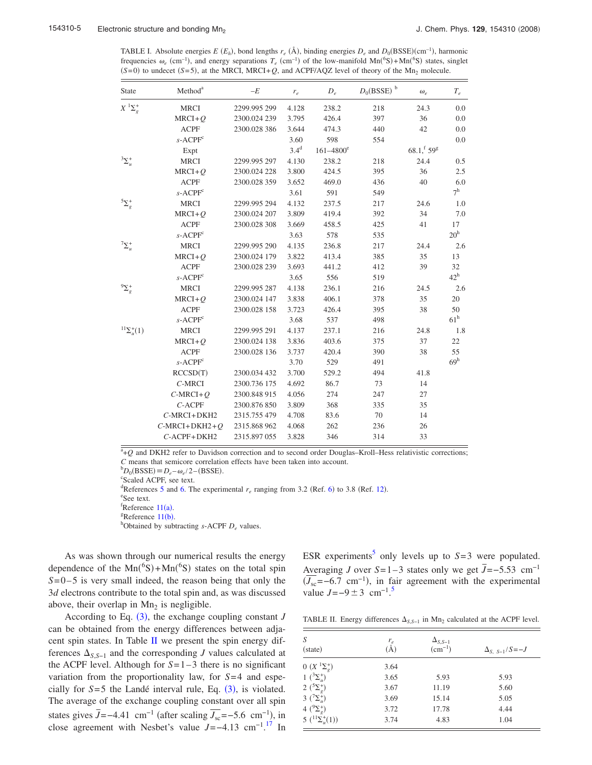<span id="page-4-0"></span>TABLE I. Absolute energies  $E(E_h)$ , bond lengths  $r_e$  ( $\AA$ ), binding energies  $D_e$  and  $D_0(BSSE)(cm^{-1})$ , harmonic frequencies  $\omega_e$  (cm<sup>-1</sup>), and energy separations  $T_e$  (cm<sup>-1</sup>) of the low-manifold  $Mn(^6S) + Mn(^6S)$  states, singlet  $(S=0)$  to undecet  $(S=5)$ , at the MRCI, MRCI+*Q*, and ACPF/AQZ level of theory of the Mn<sub>2</sub> molecule.

| <b>State</b>           | Method <sup>a</sup> | $-E$         | $r_e$            | $D_e$          | $D_0(BSSE)$ <sup>b</sup> | $\omega_e$     | $T_e$           |
|------------------------|---------------------|--------------|------------------|----------------|--------------------------|----------------|-----------------|
|                        | <b>MRCI</b>         | 2299.995 299 | 4.128            | 238.2          | 218                      | 24.3           | 0.0             |
|                        | $MRCI + Q$          | 2300.024 239 | 3.795            | 426.4          | 397                      | 36             | 0.0             |
|                        | <b>ACPF</b>         | 2300.028 386 | 3.644            | 474.3          | 440                      | 42             | 0.0             |
|                        | $s$ -ACP $Fc$       |              | 3.60             | 598            | 554                      |                | 0.0             |
|                        | Expt                |              | 3.4 <sup>d</sup> | $161 - 4800^e$ |                          | $68.1, f 59^g$ |                 |
| $\sum_{u}^{3}$         | <b>MRCI</b>         | 2299.995 297 | 4.130            | 238.2          | 218                      | 24.4           | 0.5             |
|                        | $MRCI + Q$          | 2300.024 228 | 3.800            | 424.5          | 395                      | 36             | 2.5             |
|                        | <b>ACPF</b>         | 2300.028 359 | 3.652            | 469.0          | 436                      | 40             | 6.0             |
|                        | $s$ -ACP $F^c$      |              | 3.61             | 591            | 549                      |                | 7 <sup>h</sup>  |
| ${}^{5}\Sigma_{g}^{+}$ | <b>MRCI</b>         | 2299.995 294 | 4.132            | 237.5          | 217                      | 24.6           | 1.0             |
|                        | $MRCI + Q$          | 2300.024 207 | 3.809            | 419.4          | 392                      | 34             | 7.0             |
|                        | <b>ACPF</b>         | 2300.028 308 | 3.669            | 458.5          | 425                      | 41             | 17              |
|                        | $s$ -ACP $Fc$       |              | 3.63             | 578            | 535                      |                | 20 <sup>h</sup> |
| $\sum_{u}^{+}$         | <b>MRCI</b>         | 2299.995 290 | 4.135            | 236.8          | 217                      | 24.4           | 2.6             |
|                        | $MRCI + Q$          | 2300.024 179 | 3.822            | 413.4          | 385                      | 35             | 13              |
|                        | <b>ACPF</b>         | 2300.028 239 | 3.693            | 441.2          | 412                      | 39             | 32              |
|                        | $s$ -ACP $Fc$       |              | 3.65             | 556            | 519                      |                | $42^h$          |
| ${}^{9}\Sigma_{g}^{+}$ | <b>MRCI</b>         | 2299.995 287 | 4.138            | 236.1          | 216                      | 24.5           | 2.6             |
|                        | $MRCI + Q$          | 2300.024 147 | 3.838            | 406.1          | 378                      | 35             | 20              |
|                        | <b>ACPF</b>         | 2300.028 158 | 3.723            | 426.4          | 395                      | 38             | 50              |
|                        | $s$ -ACP $Fc$       |              | 3.68             | 537            | 498                      |                | 61 <sup>h</sup> |
| ${}^{11}\Sigma_u^+(1)$ | <b>MRCI</b>         | 2299.995 291 | 4.137            | 237.1          | 216                      | 24.8           | 1.8             |
|                        | $MRCI + Q$          | 2300.024 138 | 3.836            | 403.6          | 375                      | 37             | 22              |
|                        | <b>ACPF</b>         | 2300.028 136 | 3.737            | 420.4          | 390                      | 38             | 55              |
|                        | $s$ -ACP $Fc$       |              | 3.70             | 529            | 491                      |                | 69 <sup>h</sup> |
|                        | RCCSD(T)            | 2300.034 432 | 3.700            | 529.2          | 494                      | 41.8           |                 |
|                        | $C$ -MRCI           | 2300.736 175 | 4.692            | 86.7           | 73                       | 14             |                 |
|                        | $C-MRCI+Q$          | 2300.848 915 | 4.056            | 274            | 247                      | 27             |                 |
|                        | $C$ -ACPF           | 2300.876 850 | 3.809            | 368            | 335                      | 35             |                 |
|                        | $C$ -MRCI+DKH2      | 2315.755 479 | 4.708            | 83.6           | 70                       | 14             |                 |
|                        | $C-MRCI+DKH2+Q$     | 2315.868 962 | 4.068            | 262            | 236                      | 26             |                 |
|                        | C-ACPF+DKH2         | 2315.897 055 | 3.828            | 346            | 314                      | 33             |                 |
|                        |                     |              |                  |                |                          |                |                 |

<sup>a</sup>+Q and DKH2 refer to Davidson correction and to second order Douglas–Kroll–Hess relativistic corrections;  $C$  means that semicore correlation effects have been taken into account.

 ${}^{\text{b}}D_0(\text{BSSE}) \equiv D_e - \omega_e/2 - (\text{BSSE}).$ <br>  ${}^{\text{c}}\text{Scale}$  ACPE see text

Scaled ACPF, see text.

<sup>d</sup>References [5](#page-7-4) and [6.](#page-7-6) The experimental  $r_e$  ranging from 3.2 (Ref. [6](#page-7-6)) to 3.8 (Ref. [12](#page-7-10)).

See text.

 ${}^{f}$ Reference [11](#page-7-9)(a).

<sup>g</sup>Reference  $11(b)$  $11(b)$ . <sup>h</sup>Obtained by subtracting *s*-ACPF  $D_e$  values.

As was shown through our numerical results the energy dependence of the  $Mn({}^{6}S) + Mn({}^{6}S)$  states on the total spin  $S = 0 - 5$  is very small indeed, the reason being that only the 3*d* electrons contribute to the total spin and, as was discussed above, their overlap in  $Mn<sub>2</sub>$  is negligible.

According to Eq.  $(3)$  $(3)$  $(3)$ , the exchange coupling constant *J* can be obtained from the energy differences between adjacent spin states. In Table [II](#page-4-1) we present the spin energy differences  $\Delta_{S,S-1}$  and the corresponding *J* values calculated at the ACPF level. Although for  $S=1-3$  there is no significant variation from the proportionality law, for *S*= 4 and especially for  $S=5$  the Landé interval rule, Eq.  $(3)$  $(3)$  $(3)$ , is violated. The average of the exchange coupling constant over all spin states gives  $\bar{J}$ =−4.41 cm<sup>−1</sup> (after scaling  $\overline{J_{\rm sc}}$ =−5.6 cm<sup>−1</sup>), in close agreement with Nesbet's value *J*=−4.13 cm−1. [17](#page-7-15) In

ESR experiments<sup>5</sup> only levels up to  $S=3$  were populated. Averaging *J* over  $S=1-3$  states only we get  $\bar{J}=-5.53$  cm<sup>-1</sup>  $(\overline{J_{\rm sc}}$ =−6.7 cm<sup>-1</sup>), in fair agreement with the experimental value  $J=-9 \pm 3$  cm<sup>-1.[5](#page-7-4)</sup>

<span id="page-4-1"></span>TABLE II. Energy differences  $\Delta_{S,S-1}$  in Mn<sub>2</sub> calculated at the ACPF level.

| S<br>(state)                              | $r_e$<br>A) | $\Delta_{S,S-1}$<br>$(cm^{-1})$ | $\Delta_{S-S-1}/S = -J$ |
|-------------------------------------------|-------------|---------------------------------|-------------------------|
| 0 $(X \, {}^1\Sigma_g^+)$                 | 3.64        |                                 |                         |
| 1 $(^{3}\Sigma^{+}_{u})$                  | 3.65        | 5.93                            | 5.93                    |
| 2 $({}^{5}\Sigma^{+}_{e})$                | 3.67        | 11.19                           | 5.60                    |
| 3 $({}^{7}\Sigma_{u}^{+})$                | 3.69        | 15.14                           | 5.05                    |
| 4 $(^9\Sigma_g^+)$                        | 3.72        | 17.78                           | 4.44                    |
| $5\left( {}^{11}\Sigma_{u}^{+}(1)\right)$ | 3.74        | 4.83                            | 1.04                    |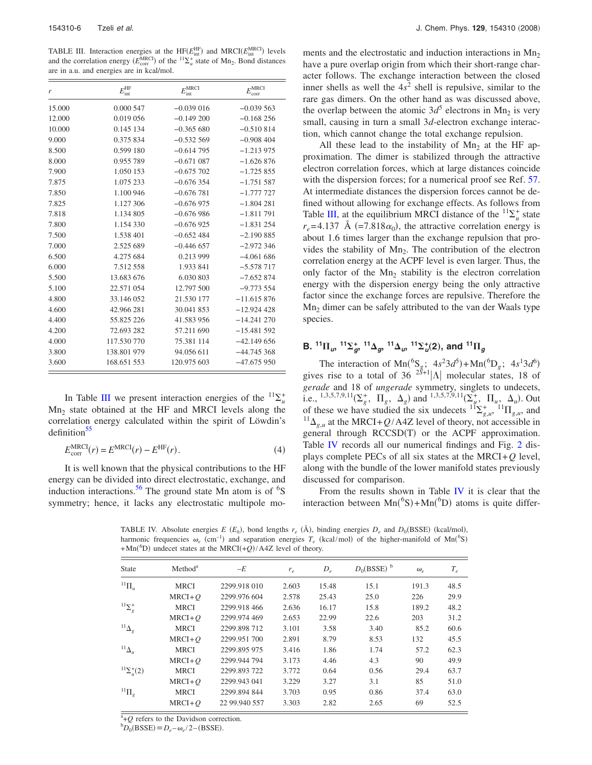<span id="page-5-0"></span>TABLE III. Interaction energies at the  $HF(E_{int}^{\text{HF}})$  and  $MRCI(E_{int}^{\text{MRCI}})$  levels and the correlation energy  $(E_{\text{corr}}^{\text{MRCI}})$  of the  ${}^{11}\Sigma_u^+$  state of Mn<sub>2</sub>. Bond distances are in a.u. and energies are in kcal/mol.

| r      | $E_{\rm int}^{\rm HF}$ | $E_{\rm int}^{\rm MRCI}$ | $E_{\rm corr}^{\rm MRCI}$ |
|--------|------------------------|--------------------------|---------------------------|
| 15.000 | 0.000 547              | $-0.039016$              | $-0.039563$               |
| 12.000 | 0.019 056              | $-0.149200$              | $-0.168256$               |
| 10.000 | 0.145 134              | $-0.365680$              | $-0.510814$               |
| 9.000  | 0.375 834              | $-0.532569$              | $-0.908404$               |
| 8.500  | 0.599 180              | $-0.614795$              | $-1.213975$               |
| 8.000  | 0.955 789              | $-0.671087$              | $-1.626876$               |
| 7.900  | 1.050 153              | $-0.675702$              | $-1.725855$               |
| 7.875  | 1.075 233              | $-0.676354$              | $-1.751587$               |
| 7.850  | 1.100 946              | $-0.676781$              | $-1.777727$               |
| 7.825  | 1.127 306              | $-0.676975$              | $-1.804281$               |
| 7.818  | 1.134 805              | $-0.676986$              | $-1.811791$               |
| 7.800  | 1.154 330              | $-0.676925$              | $-1.831254$               |
| 7.500  | 1.538 401              | $-0.652484$              | $-2.190885$               |
| 7.000  | 2.525 689              | $-0.446657$              | $-2.972346$               |
| 6.500  | 4.275 684              | 0.213 999                | $-4.061686$               |
| 6.000  | 7.512 558              | 1.933 841                | $-5.578717$               |
| 5.500  | 13.683 676             | 6.030 803                | $-7.652874$               |
| 5.100  | 22.571 054             | 12.797 500               | $-9.773554$               |
| 4.800  | 33.146 052             | 21.530 177               | $-11.615876$              |
| 4.600  | 42.966 281             | 30.041 853               | $-12.924428$              |
| 4.400  | 55.825 226             | 41.583 956               | $-14.241270$              |
| 4.200  | 72.693 282             | 57.211 690               | $-15.481592$              |
| 4.000  | 117.530 770            | 75.381 114               | $-42.149656$              |
| 3.800  | 138.801 979            | 94.056 611               | $-44.745368$              |
| 3.600  | 168.651 553            | 120.975 603              | $-47.675950$              |

In Table [III](#page-5-0) we present interaction energies of the  ${}^{11}\Sigma^+_{\mu}$  $Mn<sub>2</sub>$  state obtained at the HF and MRCI levels along the correlation energy calculated within the spirit of Löwdin's  $definition<sup>55</sup>$ 

$$
E_{\text{corr}}^{\text{MRCI}}(r) = E^{\text{MRCI}}(r) - E^{\text{HF}}(r).
$$
\n(4)

<span id="page-5-1"></span>It is well known that the physical contributions to the HF energy can be divided into direct electrostatic, exchange, and induction interactions.<sup>56</sup> The ground state Mn atom is of  ${}^{6}S$ symmetry; hence, it lacks any electrostatic multipole moments and the electrostatic and induction interactions in  $Mn<sub>2</sub>$ have a pure overlap origin from which their short-range character follows. The exchange interaction between the closed inner shells as well the  $4s^2$  shell is repulsive, similar to the rare gas dimers. On the other hand as was discussed above, the overlap between the atomic  $3d^5$  electrons in Mn<sub>2</sub> is very small, causing in turn a small 3*d*-electron exchange interaction, which cannot change the total exchange repulsion.

All these lead to the instability of  $Mn<sub>2</sub>$  at the HF approximation. The dimer is stabilized through the attractive electron correlation forces, which at large distances coincide with the dispersion forces; for a numerical proof see Ref. [57.](#page-7-46) At intermediate distances the dispersion forces cannot be defined without allowing for exchange effects. As follows from Table [III,](#page-5-0) at the equilibrium MRCI distance of the  ${}^{11}\Sigma^+_u$  state  $r_e$ =4.137 Å (=7.818 $\alpha_0$ ), the attractive correlation energy is about 1.6 times larger than the exchange repulsion that provides the stability of  $Mn<sub>2</sub>$ . The contribution of the electron correlation energy at the ACPF level is even larger. Thus, the only factor of the  $Mn<sub>2</sub>$  stability is the electron correlation energy with the dispersion energy being the only attractive factor since the exchange forces are repulsive. Therefore the Mn2 dimer can be safely attributed to the van der Waals type species.

## **B.**  $^{11}\Pi_{u}$ ,  $^{11}\Sigma_{g}^{+}$ ,  $^{11}\Delta_{g}$ ,  $^{11}\Delta_{u}$ ,  $^{11}\Sigma_{u}^{+}(2)$ , and  $^{11}\Pi_{g}$

The interaction of Mn(<sup>6</sup>S<sub>g</sub>;  $4s^23d^5$ )+Mn(<sup>6</sup>D<sub>g</sub>;  $4s^13d^6$ )<br>gives rise to a total of 36 <sup>2S+1</sup>|A| molecular states, 18 of *gerade* and 18 of *ungerade* symmetry, singlets to undecets, i.e., <sup>1,3,5,7,9,11</sup>( $\Sigma_g^+$ ,  $\Pi_g$ ,  $\Delta_g$ ) and <sup>1,3,5,7,9,11</sup>( $\Sigma_g^+$ ,  $\Pi_u$ ,  $\Delta_u$ ). Out of these we have studied the six undecets  ${}^{11}\Sigma_{g,u}^{+}$ ,  ${}^{11}\Pi_{g,u}$ , and  $^{11}\Delta_{g,u}$  at the MRCI+ $Q/A4Z$  level of theory, not accessible in general through RCCSD(T) or the ACPF approximation. Table [IV](#page-5-1) records all our numerical findings and Fig. [2](#page-6-0) displays complete PECs of all six states at the MRCI+*Q* level, along with the bundle of the lower manifold states previously discussed for comparison.

From the results shown in Table [IV](#page-5-1) it is clear that the interaction between  $Mn({}^{6}S) + Mn({}^{6}D)$  atoms is quite differ-

TABLE IV. Absolute energies *E* ( $E_h$ ), bond lengths  $r_e$  ( $\AA$ ), binding energies  $D_e$  and  $D_0(BSSE)$  (kcal/mol), harmonic frequencies  $\omega_e$  (cm<sup>-1</sup>) and separation energies  $T_e$  (kcal/mol) of the higher-manifold of Mn(<sup>6</sup>S)  $+$ Mn(<sup>6</sup>D) undecet states at the MRCI( $+Q$ )/A4Z level of theory.

| <b>State</b>               | Method <sup>a</sup> | $-E$          | $r_e$ | $D_e$ | $D_0(BSSE)^b$ | $\omega_e$ | $T_e$ |
|----------------------------|---------------------|---------------|-------|-------|---------------|------------|-------|
| ${}^{11}\Pi_u$             | <b>MRCI</b>         | 2299.918 010  | 2.603 | 15.48 | 15.1          | 191.3      | 48.5  |
|                            | $MRCI + O$          | 2299.976 604  | 2.578 | 25.43 | 25.0          | 226        | 29.9  |
| $^{11}\Sigma_{g}^{+}$      | <b>MRCI</b>         | 2299.918 466  | 2.636 | 16.17 | 15.8          | 189.2      | 48.2  |
|                            | $MRCI + O$          | 2299.974 469  | 2.653 | 22.99 | 22.6          | 203        | 31.2  |
| $^{11}\Delta_g$            | <b>MRCI</b>         | 2299.898 712  | 3.101 | 3.58  | 3.40          | 85.2       | 60.6  |
|                            | $MRCI + O$          | 2299.951 700  | 2.891 | 8.79  | 8.53          | 132        | 45.5  |
| $^{11}\Delta_u$            | <b>MRCI</b>         | 2299.895 975  | 3.416 | 1.86  | 1.74          | 57.2       | 62.3  |
|                            | $MRCI + O$          | 2299.944 794  | 3.173 | 4.46  | 4.3           | 90         | 49.9  |
| ${}^{11}\Sigma_{u}^{+}(2)$ | <b>MRCI</b>         | 2299.893 722  | 3.772 | 0.64  | 0.56          | 29.4       | 63.7  |
|                            | $MRCI + O$          | 2299.943 041  | 3.229 | 3.27  | 3.1           | 85         | 51.0  |
| ${}^{11}\Pi_g$             | <b>MRCI</b>         | 2299.894 844  | 3.703 | 0.95  | 0.86          | 37.4       | 63.0  |
|                            | $MRCI + O$          | 22 99.940 557 | 3.303 | 2.82  | 2.65          | 69         | 52.5  |

<sup>a</sup>+Q refers to the Davidson correction.<br><sup>b</sup>D (BSSE) = D (b)(2) (BSSE)

 $D_0(BSSE) \equiv D_e - \omega_e/2 - (BSSE).$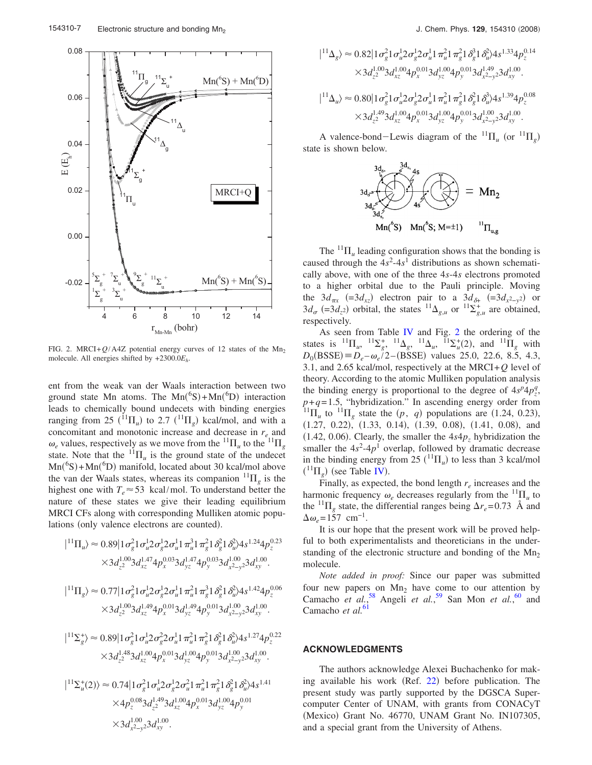<span id="page-6-0"></span>

FIG. 2. MRCI+ $Q/A4Z$  potential energy curves of 12 states of the Mn<sub>2</sub> molecule. All energies shifted by +2300.0*Eh*.

ent from the weak van der Waals interaction between two ground state Mn atoms. The  $Mn({}^{6}S) + Mn({}^{6}D)$  interaction leads to chemically bound undecets with binding energies ranging from 25  $(^{11}\Pi_u)$  to 2.7  $(^{11}\Pi_g)$  kcal/mol, and with a concomitant and monotonic increase and decrease in *re* and  $\omega_e$  values, respectively as we move from the  ${}^{11}\Pi_u$  to the  ${}^{11}\Pi_g$ state. Note that the  ${}^{11}\Pi_u$  is the ground state of the undecet Mn(<sup>6</sup>S)+Mn(<sup>6</sup>D) manifold, located about 30 kcal/mol above the van der Waals states, whereas its companion  ${}^{11}\Pi_g$  is the highest one with  $T_e \approx 53$  kcal/mol. To understand better the nature of these states we give their leading equilibrium MRCI CFs along with corresponding Mulliken atomic populations (only valence electrons are counted).

$$
|{}^{11}\Pi_u\rangle \approx 0.89|1\sigma_g^2 1\sigma_u^1 2\sigma_g^1 2\sigma_u^1 1\pi_u^3 1\pi_g^2 1\delta_g^2 1\delta_u^2 \lambda s^{1.24} 4p_z^{0.23}
$$
  
\n
$$
\times 3d_{z^2}^{1.00} 3d_{xz}^{1.47} 4p_x^{0.03} 3d_{yz}^{1.47} 4p_y^{0.03} 3d_{x^2-y^2}^{1.00} 3d_{xy}^{1.00}.
$$
  
\n
$$
|{}^{11}\Pi_g\rangle \approx 0.77|1\sigma_g^2 1\sigma_u^1 2\sigma_g^1 2\sigma_u^1 1\pi_u^2 1\pi_g^3 1\delta_g^2 1\delta_u^2 \lambda s^{1.42} 4p_z^{0.06}
$$
  
\n
$$
\times 3d_{z^2}^{1.00} 3d_{xz}^{1.49} 4p_x^{0.01} 3d_{yz}^{1.49} 4p_y^{0.01} 3d_{x^2-y^2}^{1.00} 3d_{xy}^{1.00}.
$$
  
\n
$$
|{}^{11}\Sigma_g^+ \rangle \approx 0.89|1\sigma_g^2 1\sigma_u^1 2\sigma_g^2 2\sigma_u^1 1\pi_u^2 1\pi_g^2 1\delta_g^2 1\delta_u^2 \lambda s^{1.27} 4p_z^{0.22}
$$
  
\n
$$
\times 3d_{z^2}^{1.48} 3d_{xz}^{1.00} 4p_x^{0.01} 3d_{yz}^{1.00} 4p_y^{0.01} 3d_{x^2-y^2}^{1.00} 3d_{xy}^{1.00}.
$$
  
\n
$$
|{}^{11}\Sigma_u^+(2)\rangle \approx 0.74|1\sigma_g^2 1\sigma_u^1 2\sigma_g^1 2\sigma_u^2 1\pi_u^2 1\pi_g^2 1\delta_g^2 1\delta_u^2 \lambda s^{1.41}
$$
  
\n
$$
\times 4p_z^{0.08} 3d_{z^2}^{1.49} 3d_{xz}^{1.00} 4p_x^{0.01} 3d_{yz
$$

$$
\begin{split} |^{11}\Delta_{g}\rangle &\approx 0.82 \big|1\sigma_{g}^{2}1\sigma_{u}^{1}2\sigma_{g}^{1}2\sigma_{u}^{1}1\pi_{u}^{2}1\pi_{g}^{2}1\delta_{g}^{3}1\delta_{u}^{2}\lambda s^{1.33}4p_{z}^{0.14}\\ &\times 3d_{z}^{1.00}3d_{xz}^{1.00}4p_{x}^{0.01}3d_{yz}^{1.00}4p_{y}^{0.01}3d_{x}^{1.49}23d_{xy}^{1.00}.\\ |^{11}\Delta_{u}\rangle &\approx 0.80 \big|1\sigma_{g}^{2}1\sigma_{u}^{1}2\sigma_{g}^{1}2\sigma_{u}^{1}1\pi_{u}^{2}1\pi_{g}^{2}1\delta_{g}^{2}1\delta_{u}^{3}\lambda s^{1.39}4p_{z}^{0.08}\\ &\times 3d_{z}^{1.49}3d_{xz}^{1.00}4p_{x}^{0.01}3d_{yz}^{1.00}4p_{y}^{0.01}3d_{x}^{1.00}23d_{xy}^{1.00}. \end{split}
$$

A valence-bond-Lewis diagram of the  ${}^{11}\Pi_u$  (or  ${}^{11}\Pi_g$ ) state is shown below.



The  $^{11}\Pi_u$  leading configuration shows that the bonding is caused through the  $4s^2-4s^1$  distributions as shown schematically above, with one of the three 4*s*-4*s* electrons promoted to a higher orbital due to the Pauli principle. Moving the  $3d_{\pi x}$  (=3 $d_{xz}$ ) electron pair to a  $3d_{\delta^+}$  (=3 $d_{x^2-y^2}$ ) or  $3d_{\sigma}$  (=3 $d_{z}$ 2) orbital, the states  $^{11}\Delta_{g,u}$  or  $^{11}\Sigma_{g,u}^{+}$  are obtained, respectively.

As seen from Table [IV](#page-5-1) and Fig. [2](#page-6-0) the ordering of the states is  ${}^{11}\Pi_u$ ,  ${}^{11}\Sigma_g^+$ ,  ${}^{11}\Delta_g$ ,  ${}^{11}\Delta_u$ ,  ${}^{11}\Sigma_u^+(2)$ , and  ${}^{11}\Pi_g$  with  $D_0(BSSE) \equiv D_e - \omega_e/2 - (BSSE)$  values 25.0, 22.6, 8.5, 4.3, 3.1, and 2.65 kcal/mol, respectively at the MRCI+*Q* level of theory. According to the atomic Mulliken population analysis the binding energy is proportional to the degree of  $4s^p 4p_z^q$ ,  $p+q=1.5$ , "hybridization." In ascending energy order from <sup>11</sup> $\Pi_u$  to <sup>11</sup> $\Pi_g$  state the  $(p, q)$  populations are (1.24, 0.23),  $(1.27, 0.22), (1.33, 0.14), (1.39, 0.08), (1.41, 0.08),$  and  $(1.42, 0.06)$ . Clearly, the smaller the  $4s4p_z$  hybridization the smaller the  $4s^2-4p^1$  overlap, followed by dramatic decrease in the binding energy from 25  $(^{11}\Pi_u)$  to less than 3 kcal/mol  $({}^{11}\Pi_g)$  (see Table [IV](#page-5-1)).

Finally, as expected, the bond length  $r_e$  increases and the harmonic frequency  $\omega_e$  decreases regularly from the  ${}^{11}\Pi_u$  to the <sup>11</sup> $\Pi$ <sub>g</sub> state, the differential ranges being  $\Delta r_e$ =0.73 Å and  $\Delta \omega_e = 157$  cm<sup>-1</sup>.

It is our hope that the present work will be proved helpful to both experimentalists and theoreticians in the understanding of the electronic structure and bonding of the  $Mn<sub>2</sub>$ molecule.

*Note added in proof:* Since our paper was submitted four new papers on  $Mn<sub>2</sub>$  have come to our attention by Camacho *et al.*<sup>[58](#page-7-47)</sup> Angeli *et al.*<sup>[59](#page-7-48)</sup> San Mon *et al.*<sup>[60](#page-7-49)</sup> and Camacho *et al.*<sup>[61](#page-7-50)</sup>

### **ACKNOWLEDGMENTS**

The authors acknowledge Alexei Buchachenko for mak-ing available his work (Ref. [22](#page-7-16)) before publication. The present study was partly supported by the DGSCA Supercomputer Center of UNAM, with grants from CONACyT (Mexico) Grant No. 46770, UNAM Grant No. IN107305, and a special grant from the University of Athens.